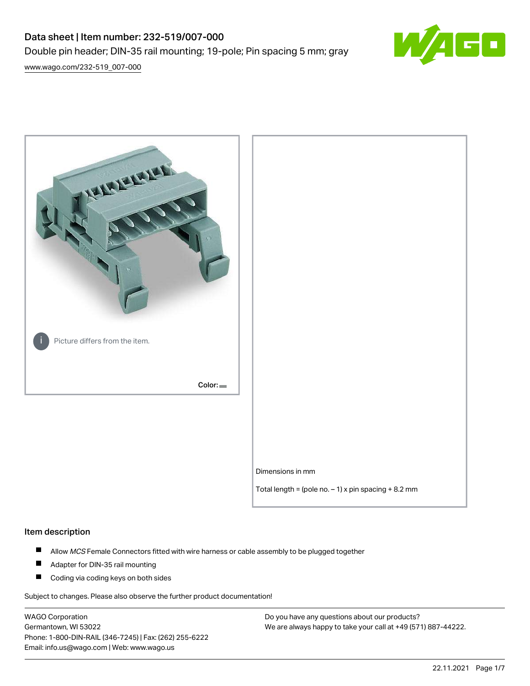# Data sheet | Item number: 232-519/007-000 Double pin header; DIN-35 rail mounting; 19-pole; Pin spacing 5 mm; gray



[www.wago.com/232-519\\_007-000](http://www.wago.com/232-519_007-000)



# Item description

- $\blacksquare$ Allow MCS Female Connectors fitted with wire harness or cable assembly to be plugged together
- $\blacksquare$ Adapter for DIN-35 rail mounting
- $\blacksquare$ Coding via coding keys on both sides

Subject to changes. Please also observe the further product documentation!

WAGO Corporation Germantown, WI 53022 Phone: 1-800-DIN-RAIL (346-7245) | Fax: (262) 255-6222 Email: info.us@wago.com | Web: www.wago.us

Do you have any questions about our products? We are always happy to take your call at +49 (571) 887-44222.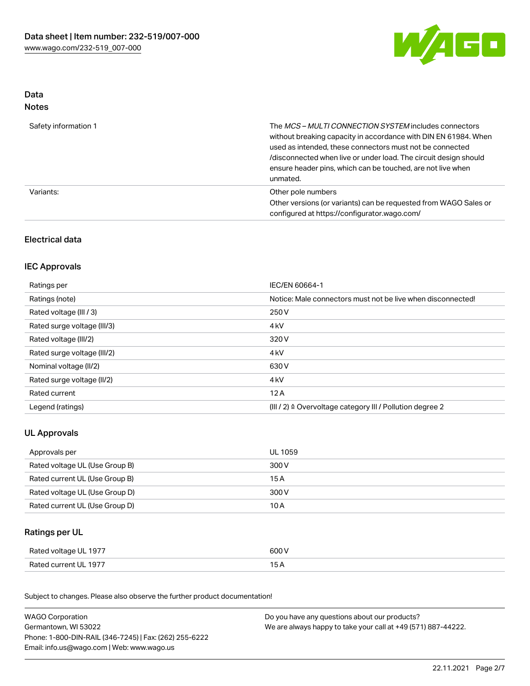

# Data Notes

| Safety information 1 | The <i>MCS – MULTI CONNECTION SYSTEM</i> includes connectors<br>without breaking capacity in accordance with DIN EN 61984. When<br>used as intended, these connectors must not be connected<br>/disconnected when live or under load. The circuit design should<br>ensure header pins, which can be touched, are not live when<br>unmated. |
|----------------------|--------------------------------------------------------------------------------------------------------------------------------------------------------------------------------------------------------------------------------------------------------------------------------------------------------------------------------------------|
| Variants:            | Other pole numbers<br>Other versions (or variants) can be requested from WAGO Sales or<br>configured at https://configurator.wago.com/                                                                                                                                                                                                     |

# Electrical data

# IEC Approvals

| Ratings per                 | IEC/EN 60664-1                                                        |
|-----------------------------|-----------------------------------------------------------------------|
| Ratings (note)              | Notice: Male connectors must not be live when disconnected!           |
| Rated voltage (III / 3)     | 250 V                                                                 |
| Rated surge voltage (III/3) | 4 <sub>k</sub> V                                                      |
| Rated voltage (III/2)       | 320 V                                                                 |
| Rated surge voltage (III/2) | 4 <sub>k</sub> V                                                      |
| Nominal voltage (II/2)      | 630 V                                                                 |
| Rated surge voltage (II/2)  | 4 <sub>k</sub> V                                                      |
| Rated current               | 12A                                                                   |
| Legend (ratings)            | $(III / 2)$ $\triangle$ Overvoltage category III / Pollution degree 2 |

# UL Approvals

| Approvals per                  | UL 1059 |
|--------------------------------|---------|
| Rated voltage UL (Use Group B) | 300 V   |
| Rated current UL (Use Group B) | 15 A    |
| Rated voltage UL (Use Group D) | 300 V   |
| Rated current UL (Use Group D) | 10 A    |

# Ratings per UL

| Rated voltage UL 1977 | 600 V |
|-----------------------|-------|
| Rated current UL 1977 |       |

Subject to changes. Please also observe the further product documentation!

| <b>WAGO Corporation</b>                                | Do you have any questions about our products?                 |
|--------------------------------------------------------|---------------------------------------------------------------|
| Germantown, WI 53022                                   | We are always happy to take your call at +49 (571) 887-44222. |
| Phone: 1-800-DIN-RAIL (346-7245)   Fax: (262) 255-6222 |                                                               |
| Email: info.us@wago.com   Web: www.wago.us             |                                                               |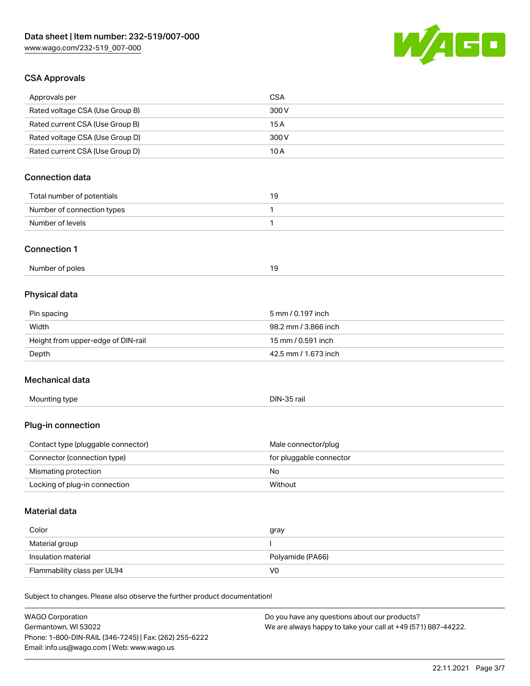Phone: 1-800-DIN-RAIL (346-7245) | Fax: (262) 255-6222

Email: info.us@wago.com | Web: www.wago.us



# CSA Approvals

| Approvals per                                                              | <b>CSA</b>                                                    |
|----------------------------------------------------------------------------|---------------------------------------------------------------|
| Rated voltage CSA (Use Group B)                                            | 300 V                                                         |
| Rated current CSA (Use Group B)                                            | 15A                                                           |
| Rated voltage CSA (Use Group D)                                            | 300 V                                                         |
| Rated current CSA (Use Group D)                                            | 10A                                                           |
| <b>Connection data</b>                                                     |                                                               |
| Total number of potentials                                                 | 19                                                            |
| Number of connection types                                                 | 1                                                             |
| Number of levels                                                           | 1                                                             |
| <b>Connection 1</b>                                                        |                                                               |
| Number of poles                                                            | 19                                                            |
| Physical data                                                              |                                                               |
| Pin spacing                                                                | 5 mm / 0.197 inch                                             |
| Width                                                                      | 98.2 mm / 3.866 inch                                          |
| Height from upper-edge of DIN-rail                                         | 15 mm / 0.591 inch                                            |
| Depth                                                                      | 42.5 mm / 1.673 inch                                          |
| Mechanical data                                                            |                                                               |
| Mounting type                                                              | DIN-35 rail                                                   |
| Plug-in connection                                                         |                                                               |
| Contact type (pluggable connector)                                         | Male connector/plug                                           |
| Connector (connection type)                                                | for pluggable connector                                       |
| Mismating protection                                                       | No                                                            |
| Locking of plug-in connection                                              | Without                                                       |
| Material data                                                              |                                                               |
| Color                                                                      | gray                                                          |
| Material group                                                             | I                                                             |
| Insulation material                                                        | Polyamide (PA66)                                              |
| Flammability class per UL94                                                | V <sub>0</sub>                                                |
| Subject to changes. Please also observe the further product documentation! |                                                               |
| <b>WAGO Corporation</b>                                                    | Do you have any questions about our products?                 |
| Germantown, WI 53022                                                       | We are always happy to take your call at +49 (571) 887-44222. |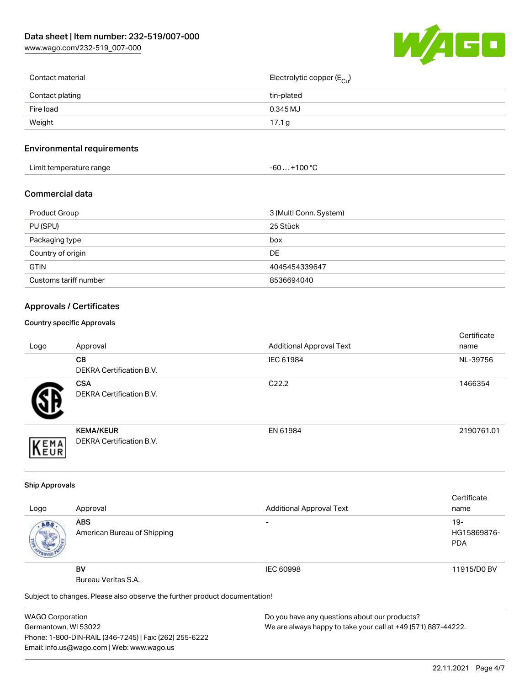[www.wago.com/232-519\\_007-000](http://www.wago.com/232-519_007-000)



| Contact material | Electrolytic copper (E <sub>Cu</sub> ) |
|------------------|----------------------------------------|
| Contact plating  | tin-plated                             |
| Fire load        | 0.345 MJ                               |
| Weight           | 17.1 g                                 |
|                  |                                        |

# Environmental requirements

| Limit temperature range | ⊥+100 °ົ<br>-60 |
|-------------------------|-----------------|
|-------------------------|-----------------|

# Commercial data

| Product Group         | 3 (Multi Conn. System) |
|-----------------------|------------------------|
| PU (SPU)              | 25 Stück               |
| Packaging type        | box                    |
| Country of origin     | DE                     |
| <b>GTIN</b>           | 4045454339647          |
| Customs tariff number | 8536694040             |

# Approvals / Certificates

#### Country specific Approvals

| Logo | Approval                                            | <b>Additional Approval Text</b> | Certificate<br>name |
|------|-----------------------------------------------------|---------------------------------|---------------------|
|      | CВ<br><b>DEKRA Certification B.V.</b>               | IEC 61984                       | NL-39756            |
|      | <b>CSA</b><br>DEKRA Certification B.V.              | C <sub>22.2</sub>               | 1466354             |
| EMA  | <b>KEMA/KEUR</b><br><b>DEKRA Certification B.V.</b> | EN 61984                        | 2190761.01          |

### Ship Approvals

|      |                                                                            |                                 | Certificate |
|------|----------------------------------------------------------------------------|---------------------------------|-------------|
| Logo | Approval                                                                   | <b>Additional Approval Text</b> | name        |
| ABS. | <b>ABS</b>                                                                 | -                               | $19-$       |
|      | American Bureau of Shipping                                                |                                 | HG15869876- |
|      |                                                                            |                                 | <b>PDA</b>  |
|      |                                                                            |                                 |             |
|      | <b>BV</b>                                                                  | IEC 60998                       | 11915/D0 BV |
|      | Bureau Veritas S.A.                                                        |                                 |             |
|      | Subject to changes. Please also observe the further product documentation! |                                 |             |

WAGO Corporation Germantown, WI 53022 Phone: 1-800-DIN-RAIL (346-7245) | Fax: (262) 255-6222 Email: info.us@wago.com | Web: www.wago.us

Do you have any questions about our products? We are always happy to take your call at +49 (571) 887-44222.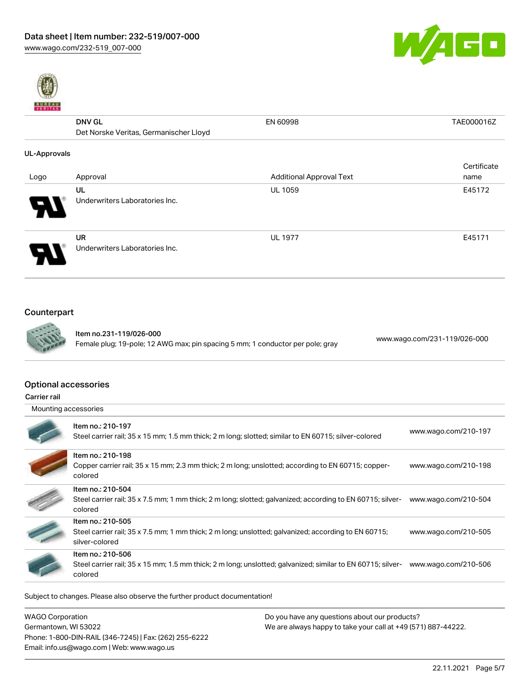



# DNV GL Det Norske Veritas, Germanischer Lloyd EN 60998 TAE000016Z UL-Approvals Logo Approval Approval Approval Additional Approval Text Additional Approval Text Certificate name UL Underwriters Laboratories Inc. UL 1059 E45172 UR UL 1977 **E45171**



Underwriters Laboratories Inc.

# Counterpart



Item no.231-119/026-000 Female plug; 19-pole; 12 AWG max; pin spacing 5 mm; 1 conductor per pole; gray [www.wago.com/231-119/026-000](https://www.wago.com/231-119/026-000)

## Optional accessories

Carrier rail

| Mounting accessories |
|----------------------|
|----------------------|

| Item no.: 210-197<br>Steel carrier rail; 35 x 15 mm; 1.5 mm thick; 2 m long; slotted; similar to EN 60715; silver-colored                   | www.wago.com/210-197 |
|---------------------------------------------------------------------------------------------------------------------------------------------|----------------------|
| Item no.: 210-198<br>Copper carrier rail; 35 x 15 mm; 2.3 mm thick; 2 m long; unslotted; according to EN 60715; copper-<br>colored          | www.wago.com/210-198 |
| Item no.: 210-504<br>Steel carrier rail; 35 x 7.5 mm; 1 mm thick; 2 m long; slotted; galvanized; according to EN 60715; silver-<br>colored  | www.wago.com/210-504 |
| Item no.: 210-505<br>Steel carrier rail; 35 x 7.5 mm; 1 mm thick; 2 m long; unslotted; galvanized; according to EN 60715;<br>silver-colored | www.wago.com/210-505 |
| Item no.: 210-506<br>Steel carrier rail; 35 x 15 mm; 1.5 mm thick; 2 m long; unslotted; galvanized; similar to EN 60715; silver-<br>colored | www.wago.com/210-506 |

Subject to changes. Please also observe the further product documentation!

| <b>WAGO Corporation</b>                                | Do you have any questions about our products?                 |
|--------------------------------------------------------|---------------------------------------------------------------|
| Germantown, WI 53022                                   | We are always happy to take your call at +49 (571) 887-44222. |
| Phone: 1-800-DIN-RAIL (346-7245)   Fax: (262) 255-6222 |                                                               |
| Email: info.us@wago.com   Web: www.wago.us             |                                                               |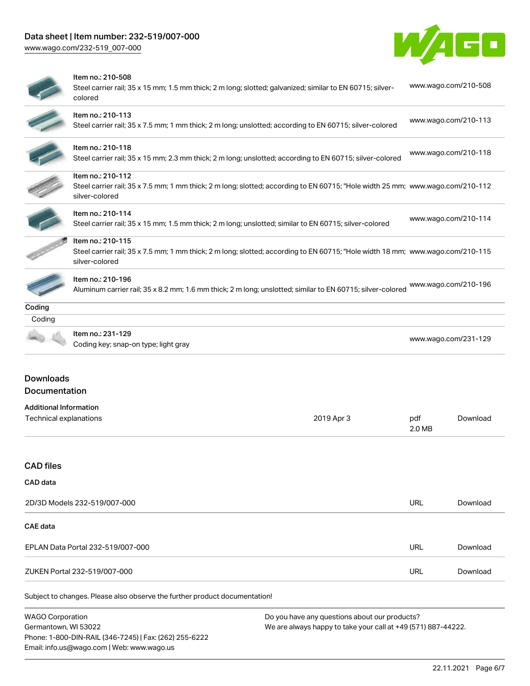# Data sheet | Item number: 232-519/007-000

Phone: 1-800-DIN-RAIL (346-7245) | Fax: (262) 255-6222

Email: info.us@wago.com | Web: www.wago.us

[www.wago.com/232-519\\_007-000](http://www.wago.com/232-519_007-000)



|                                                         | Item no.: 210-508<br>Steel carrier rail; 35 x 15 mm; 1.5 mm thick; 2 m long; slotted; galvanized; similar to EN 60715; silver-<br>colored                             |                                                                                                                |                      | www.wago.com/210-508 |
|---------------------------------------------------------|-----------------------------------------------------------------------------------------------------------------------------------------------------------------------|----------------------------------------------------------------------------------------------------------------|----------------------|----------------------|
|                                                         | Item no.: 210-113<br>Steel carrier rail; 35 x 7.5 mm; 1 mm thick; 2 m long; unslotted; according to EN 60715; silver-colored                                          |                                                                                                                |                      | www.wago.com/210-113 |
|                                                         | Item no.: 210-118<br>Steel carrier rail; 35 x 15 mm; 2.3 mm thick; 2 m long; unslotted; according to EN 60715; silver-colored                                         |                                                                                                                |                      | www.wago.com/210-118 |
|                                                         | Item no.: 210-112<br>Steel carrier rail; 35 x 7.5 mm; 1 mm thick; 2 m long; slotted; according to EN 60715; "Hole width 25 mm; www.wago.com/210-112<br>silver-colored |                                                                                                                |                      |                      |
|                                                         | Item no.: 210-114<br>Steel carrier rail; 35 x 15 mm; 1.5 mm thick; 2 m long; unslotted; similar to EN 60715; silver-colored                                           |                                                                                                                |                      | www.wago.com/210-114 |
|                                                         | Item no.: 210-115<br>Steel carrier rail; 35 x 7.5 mm; 1 mm thick; 2 m long; slotted; according to EN 60715; "Hole width 18 mm; www.wago.com/210-115<br>silver-colored |                                                                                                                |                      |                      |
|                                                         | Item no.: 210-196<br>Aluminum carrier rail; 35 x 8.2 mm; 1.6 mm thick; 2 m long; unslotted; similar to EN 60715; silver-colored                                       |                                                                                                                |                      | www.wago.com/210-196 |
| Coding                                                  |                                                                                                                                                                       |                                                                                                                |                      |                      |
| Coding                                                  | Item no.: 231-129<br>Coding key; snap-on type; light gray                                                                                                             |                                                                                                                | www.wago.com/231-129 |                      |
| <b>Downloads</b><br>Documentation                       |                                                                                                                                                                       |                                                                                                                |                      |                      |
| <b>Additional Information</b><br>Technical explanations |                                                                                                                                                                       | 2019 Apr 3                                                                                                     | pdf<br>2.0 MB        | Download             |
| <b>CAD files</b>                                        |                                                                                                                                                                       |                                                                                                                |                      |                      |
| CAD data                                                |                                                                                                                                                                       |                                                                                                                |                      |                      |
|                                                         | 2D/3D Models 232-519/007-000                                                                                                                                          |                                                                                                                | <b>URL</b>           | Download             |
| <b>CAE</b> data                                         |                                                                                                                                                                       |                                                                                                                |                      |                      |
|                                                         | EPLAN Data Portal 232-519/007-000                                                                                                                                     |                                                                                                                | <b>URL</b>           | Download             |
|                                                         | ZUKEN Portal 232-519/007-000                                                                                                                                          |                                                                                                                | <b>URL</b>           | Download             |
|                                                         | Subject to changes. Please also observe the further product documentation!                                                                                            |                                                                                                                |                      |                      |
| <b>WAGO Corporation</b><br>Germantown, WI 53022         |                                                                                                                                                                       | Do you have any questions about our products?<br>We are always happy to take your call at +49 (571) 887-44222. |                      |                      |